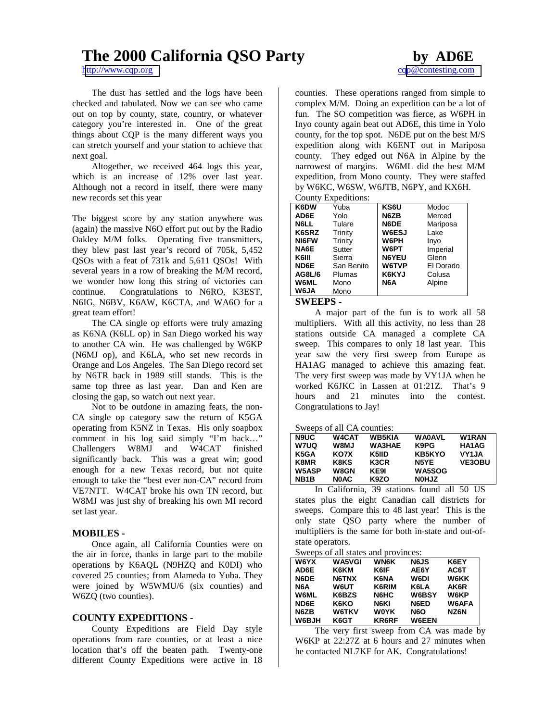# **The 2000 California QSO Party by AD6E**

The dust has settled and the logs have been checked and tabulated. Now we can see who came out on top by county, state, country, or whatever category you're interested in. One of the great things about CQP is the many different ways you can stretch yourself and your station to achieve that next goal.

Altogether, we received 464 logs this year, which is an increase of 12% over last year. Although not a record in itself, there were many new records set this year

The biggest score by any station anywhere was (again) the massive N6O effort put out by the Radio Oakley M/M folks. Operating five transmitters, they blew past last year's record of 705k, 5,452 QSOs with a feat of 731k and 5,611 QSOs! With several years in a row of breaking the M/M record, we wonder how long this string of victories can continue. Congratulations to N6RO, K3EST, N6IG, N6BV, K6AW, K6CTA, and WA6O for a great team effort!

The CA single op efforts were truly amazing as K6NA (K6LL op) in San Diego worked his way to another CA win. He was challenged by W6KP (N6MJ op), and K6LA, who set new records in Orange and Los Angeles. The San Diego record set by N6TR back in 1989 still stands. This is the same top three as last year. Dan and Ken are closing the gap, so watch out next year.

Not to be outdone in amazing feats, the non-CA single op category saw the return of K5GA operating from K5NZ in Texas. His only soapbox comment in his log said simply "I'm back…" Challengers W8MJ and W4CAT finished significantly back. This was a great win; good enough for a new Texas record, but not quite enough to take the "best ever non-CA" record from VE7NTT. W4CAT broke his own TN record, but W8MJ was just shy of breaking his own MI record set last year.

# **MOBILES -**

Once again, all California Counties were on the air in force, thanks in large part to the mobile operations by K6AQL (N9HZQ and K0DI) who covered 25 counties; from Alameda to Yuba. They were joined by W5WMU/6 (six counties) and W6ZQ (two counties).

# **COUNTY EXPEDITIONS -**

County Expeditions are Field Day style operations from rare counties, or at least a nice location that's off the beaten path. Twenty-one different County Expeditions were active in 18 counties. These operations ranged from simple to complex M/M. Doing an expedition can be a lot of fun. The SO competition was fierce, as W6PH in Inyo county again beat out AD6E, this time in Yolo county, for the top spot. N6DE put on the best M/S expedition along with K6ENT out in Mariposa county. They edged out N6A in Alpine by the narrowest of margins. W6ML did the best M/M expedition, from Mono county. They were staffed by W6KC, W6SW, W6JTB, N6PY, and KX6H.

County Expeditions:

| K6DW          | Yuba       | KS6U         | Modoc     |
|---------------|------------|--------------|-----------|
| AD6E          | Yolo       | N6ZB         | Merced    |
| N6LL          | Tulare     | N6DE         | Mariposa  |
| K6SRZ         | Trinity    | W6ESJ        | Lake      |
| <b>NI6FW</b>  | Trinity    | W6PH         | Inyo      |
| NA6E          | Sutter     | W6PT         | Imperial  |
| K6III         | Sierra     | <b>N6YEU</b> | Glenn     |
| ND6E          | San Benito | W6TVP        | El Dorado |
| <b>AG8L/6</b> | Plumas     | K6KYJ        | Colusa    |
| <b>W6ML</b>   | Mono       | N6A          | Alpine    |
| W6JA          | Mono       |              |           |
|               |            |              |           |

### **SWEEPS -**

A major part of the fun is to work all 58 multipliers. With all this activity, no less than 28 stations outside CA managed a complete CA sweep. This compares to only 18 last year. This year saw the very first sweep from Europe as HA1AG managed to achieve this amazing feat. The very first sweep was made by VY1JA when he worked K6JKC in Lassen at 01:21Z. That's 9 hours and 21 minutes into the contest. Congratulations to Jay!

Sweeps of all CA counties:

| <b>N9UC</b>       | <b>W4CAT</b> | <b>WB5KIA</b> | <b>WA0AVL</b> | W1RAN         |
|-------------------|--------------|---------------|---------------|---------------|
| W7UQ              | <b>UM8W</b>  | <b>WA3HAE</b> | K9PG          | HA1AG         |
| K5GA              | KO7X         | K5IID         | KB5KYO        | VY1JA         |
| K8MR              | K8KS         | K3CR          | N5YE          | <b>VE3OBU</b> |
| <b>W5ASP</b>      | W8GN         | KE9I          | <b>WA5SOG</b> |               |
| NB <sub>1</sub> B | <b>NOAC</b>  | K9ZO          | <b>NOHJZ</b>  |               |

In California, 39 stations found all 50 US states plus the eight Canadian call districts for sweeps. Compare this to 48 last year! This is the only state QSO party where the number of multipliers is the same for both in-state and out-ofstate operators.

Sweeps of all states and provinces:

| <b>W6YX</b> | <b>WA5VGI</b> | <b>WN6K</b> | <b>N6JS</b>      | K6EY         |
|-------------|---------------|-------------|------------------|--------------|
| AD6E        | K6KM          | K6IF        | AE6Y             | AC6T         |
| N6DE        | N6TNX         | <b>K6NA</b> | W6DI             | <b>W6KK</b>  |
| N6A         | W6UT          | K6RIM       | K6LA             | AK6R         |
| <b>W6ML</b> | K6BZS         | N6HC        | W6BSY            | W6KP         |
| ND6E        | K6KO          | N6KI        | N6ED             | <b>W6AFA</b> |
| N6ZB        | <b>W6TKV</b>  | W0YK        | N <sub>6</sub> O | NZ6N         |
| W6BJH       | K6GT          | KR6RF       | <b>W6EEN</b>     |              |

The very first sweep from CA was made by W6KP at 22:27Z at 6 hours and 27 minutes when he contacted NL7KF for AK. Congratulations!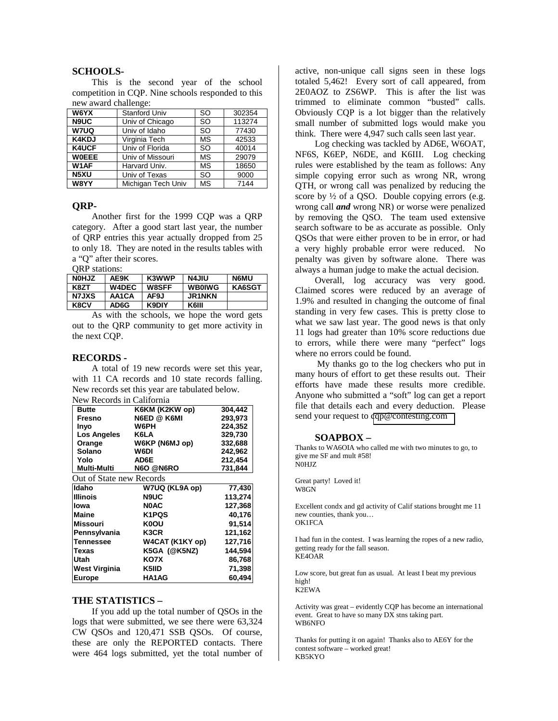#### **SCHOOLS-**

This is the second year of the school competition in CQP. Nine schools responded to this new award challenge:

| W6YX              | <b>Stanford Univ</b> | <b>SO</b> | 302354 |
|-------------------|----------------------|-----------|--------|
| <b>N9UC</b>       | Univ of Chicago      | <b>SO</b> | 113274 |
| W7UQ              | Univ of Idaho        | <b>SO</b> | 77430  |
| <b>K4KDJ</b>      | Virginia Tech        | <b>MS</b> | 42533  |
| <b>K4UCF</b>      | Univ of Florida      | <b>SO</b> | 40014  |
| <b>WOEEE</b>      | Univ of Missouri     | <b>MS</b> | 29079  |
| W <sub>1</sub> AF | Harvard Univ.        | <b>MS</b> | 18650  |
| N <sub>5</sub> XU | Univ of Texas        | <b>SO</b> | 9000   |
| W8YY              | Michigan Tech Univ   | <b>MS</b> | 7144   |

## **QRP-**

Another first for the 1999 CQP was a QRP category. After a good start last year, the number of QRP entries this year actually dropped from 25 to only 18. They are noted in the results tables with a "Q" after their scores.

#### QRP stations:

| <b>NOHJZ</b> | AE9K         | K3WWP        | <b>N4JIU</b>  | <b>N6MU</b>   |
|--------------|--------------|--------------|---------------|---------------|
| K8ZT         | <b>W4DEC</b> | <b>W8SFF</b> | <b>WB0IWG</b> | <b>KA6SGT</b> |
| <b>N7JXS</b> | AA1CA        | AF9J         | <b>JR1NKN</b> |               |
| K8CV         | AD6G         | K9DIY        | K6III         |               |

As with the schools, we hope the word gets out to the QRP community to get more activity in the next CQP.

#### **RECORDS -**

A total of 19 new records were set this year, with 11 CA records and 10 state records falling. New records set this year are tabulated below. New Records in California

|                          | м тесергер пі саптотіпа |         |
|--------------------------|-------------------------|---------|
| Butte                    | K6KM (K2KW op)          | 304,442 |
| Fresno                   | N6ED @ K6MI             | 293,973 |
| Inyo                     | W6PH                    | 224,352 |
| Los Angeles              | K6LA                    | 329.730 |
| Orange                   | W6KP (N6MJ op)          | 332,688 |
| Solano                   | W6DI                    | 242,962 |
| Yolo                     | AD6E                    | 212,454 |
| <b>Multi-Multi</b>       | N6O @N6RO               | 731,844 |
| Out of State new Records |                         |         |
| Idaho                    | W7UQ (KL9A op)          | 77,430  |
| <b>Illinois</b>          | <b>N9UC</b>             | 113,274 |
| lowa                     | <b>NOAC</b>             | 127,368 |
| Maine                    | K <sub>1</sub> PQS      | 40,176  |
| <b>Missouri</b>          | <b>K0OU</b>             | 91,514  |
| Pennsylvania             | K3CR                    | 121,162 |
| <b>Tennessee</b>         | W4CAT (K1KY op)         | 127,716 |
| <b>Texas</b>             | K5GA (@K5NZ)            | 144,594 |
| Utah                     | KO7X                    | 86,768  |
| West Virginia            | K5IID                   | 71,398  |
| <b>Europe</b>            | HA1AG                   | 60.494  |

# **THE STATISTICS –**

If you add up the total number of QSOs in the logs that were submitted, we see there were 63,324 CW QSOs and 120,471 SSB QSOs. Of course, these are only the REPORTED contacts. There were 464 logs submitted, yet the total number of active, non-unique call signs seen in these logs totaled 5,462! Every sort of call appeared, from 2E0AOZ to ZS6WP. This is after the list was trimmed to eliminate common "busted" calls. Obviously CQP is a lot bigger than the relatively small number of submitted logs would make you think. There were 4,947 such calls seen last year.

Log checking was tackled by AD6E, W6OAT, NF6S, K6EP, N6DE, and K6III. Log checking rules were established by the team as follows: Any simple copying error such as wrong NR, wrong QTH, or wrong call was penalized by reducing the score by  $\frac{1}{2}$  of a QSO. Double copying errors (e.g. wrong call *and* wrong NR) or worse were penalized by removing the QSO. The team used extensive search software to be as accurate as possible. Only QSOs that were either proven to be in error, or had a very highly probable error were reduced. No penalty was given by software alone. There was always a human judge to make the actual decision.

Overall, log accuracy was very good. Claimed scores were reduced by an average of 1.9% and resulted in changing the outcome of final standing in very few cases. This is pretty close to what we saw last year. The good news is that only 11 logs had greater than 10% score reductions due to errors, while there were many "perfect" logs where no errors could be found.

 My thanks go to the log checkers who put in many hours of effort to get these results out. Their efforts have made these results more credible. Anyone who submitted a "soft" log can get a report file that details each and every deduction. Please send your request to [cqp@contesting.com](mailto:cqp@contesting.com) 

#### **SOAPBOX –**

Thanks to WA6OIA who called me with two minutes to go, to give me SF and mult #58! N0HJZ

Great party! Loved it! W8GN

Excellent condx and gd activity of Calif stations brought me 11 new counties, thank you… OK1FCA

I had fun in the contest. I was learning the ropes of a new radio, getting ready for the fall season. KE4OAR

Low score, but great fun as usual. At least I beat my previous high! K2EWA

Activity was great – evidently CQP has become an international event. Great to have so many DX stns taking part. WB6NFO

Thanks for putting it on again! Thanks also to AE6Y for the contest software – worked great! KB5KYO